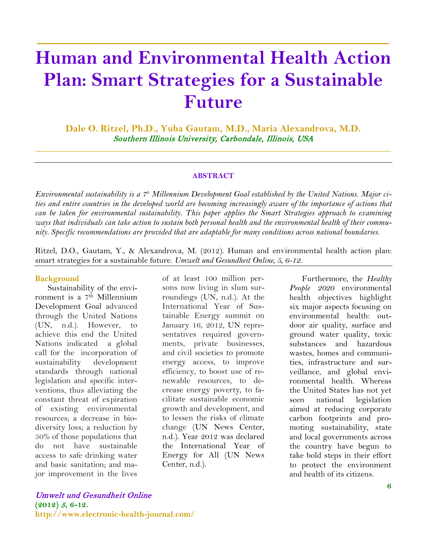# **Human and Environmental Health Action Plan: Smart Strategies for a Sustainable Future**

**\_\_\_\_\_\_\_\_\_\_\_\_\_\_\_\_\_\_\_\_\_\_\_\_\_\_\_\_\_\_\_\_\_\_\_\_**

**Dale O. Ritzel, Ph.D., Yuba Gautam, M.D., Maria Alexandrova, M.D.** Southern Illinois University, Carbondale, Illinois, USA

\_\_\_\_\_\_\_\_\_\_\_\_\_\_\_\_\_\_\_\_\_\_\_\_\_\_\_\_\_\_\_\_\_\_\_\_\_\_\_\_\_\_\_\_\_\_\_\_\_\_\_\_\_\_\_\_\_\_\_\_\_\_\_\_\_\_\_\_\_\_\_\_\_\_\_\_\_\_\_\_\_\_\_\_\_

#### **ABSTRACT**

*Environmental sustainability is a 7th Millennium Development Goal established by the United Nations. Major cities and entire countries in the developed world are becoming increasingly aware of the importance of actions that can be taken for environmental sustainability. This paper applies the Smart Strategies approach to examining ways that individuals can take action to sustain both personal health and the environmental health of their community. Specific recommendations are provided that are adaptable for many conditions across national boundaries.*

Ritzel, D.O., Gautam, Y., & Alexandrova, M. (2012). Human and environmental health action plan: smart strategies for a sustainable future. *Umwelt und Gesundheit Online, 5, 6-12.*

#### **Background**

Sustainability of the environment is a 7th Millennium Development Goal advanced through the United Nations (UN, n.d.). However, to achieve this end the United Nations indicated a global call for the incorporation of sustainability development standards through national legislation and specific interventions, thus alleviating the constant threat of expiration of existing environmental resources; a decrease in biodiversity loss; a reduction by 50% of those populations that do not have sustainable access to safe drinking water and basic sanitation; and major improvement in the lives

of at least 100 million persons now living in slum surroundings (UN, n.d.). At the International Year of Sustainable Energy summit on January 16, 2012, UN representatives required governments, private businesses, and civil societies to promote energy access, to improve efficiency, to boost use of renewable resources, to decrease energy poverty, to facilitate sustainable economic growth and development, and to lessen the risks of climate change (UN News Center, n.d.). Year 2012 was declared the International Year of Energy for All (UN News Center, n.d.).

Furthermore, the *Healthy People 2020* environmental health objectives highlight six major aspects focusing on environmental health: outdoor air quality, surface and ground water quality, toxic substances and hazardous wastes, homes and communities, infrastructure and surveillance, and global environmental health. Whereas the United States has not yet seen national legislation aimed at reducing corporate carbon footprints and promoting sustainability, state and local governments across the country have begun to take bold steps in their effort to protect the environment and health of its citizens.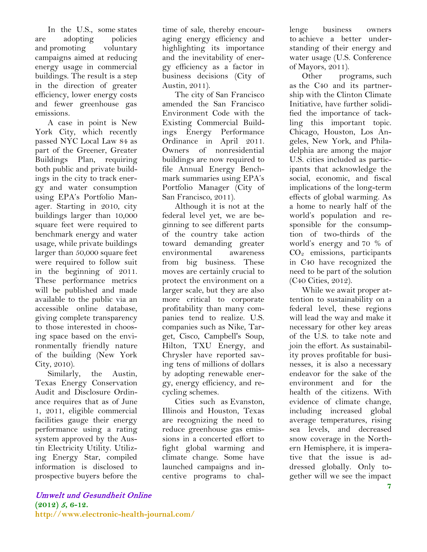In the U.S., some states are adopting policies and promoting voluntary campaigns aimed at reducing energy usage in commercial buildings. The result is a step in the direction of greater efficiency, lower energy costs and fewer greenhouse gas emissions.

A case in point is New York City, which recently passed NYC Local Law 84 as part of the Greener, Greater Buildings Plan, requiring both public and private buildings in the city to track energy and water consumption using EPA's Portfolio Manager. Starting in 2010, city buildings larger than 10,000 square feet were required to benchmark energy and water usage, while private buildings larger than 50,000 square feet were required to follow suit in the beginning of 2011. These performance metrics will be published and made available to the public via an accessible online database, giving complete transparency to those interested in choosing space based on the environmentally friendly nature of the building (New York City, 2010).

Similarly, the Austin, Texas Energy Conservation Audit and Disclosure Ordinance requires that as of June 1, 2011, eligible commercial facilities gauge their energy performance using a rating system approved by the Austin Electricity Utility. Utilizing Energy Star, compiled information is disclosed to prospective buyers before the time of sale, thereby encouraging energy efficiency and highlighting its importance and the inevitability of energy efficiency as a factor in business decisions (City of Austin, 2011).

The city of San Francisco amended the San Francisco Environment Code with the Existing Commercial Buildings Energy Performance Ordinance in April 2011. Owners of nonresidential buildings are now required to file Annual Energy Benchmark summaries using EPA's Portfolio Manager (City of San Francisco, 2011).

Although it is not at the federal level yet, we are beginning to see different parts of the country take action toward demanding greater environmental awareness from big business. These moves are certainly crucial to protect the environment on a larger scale, but they are also more critical to corporate profitability than many companies tend to realize. U.S. companies such as Nike, Target, Cisco, Campbell's Soup, Hilton, TXU Energy, and Chrysler have reported saving tens of millions of dollars by adopting renewable energy, energy efficiency, and recycling schemes.

Cities such as Evanston, Illinois and Houston, Texas are recognizing the need to reduce greenhouse gas emissions in a concerted effort to fight global warming and climate change. Some have launched campaigns and incentive programs to challenge business owners to achieve a better understanding of their energy and water usage (U.S. Conference of Mayors, 2011).

Other programs, such as the C40 and its partnership with the Clinton Climate Initiative, have further solidified the importance of tackling this important topic. Chicago, Houston, Los Angeles, New York, and Philadelphia are among the major U.S. cities included as participants that acknowledge the social, economic, and fiscal implications of the long-term effects of global warming. As a home to nearly half of the world's population and responsible for the consumption of two-thirds of the world's energy and 70 % of CO2 emissions, participants in C40 have recognized the need to be part of the solution (C40 Cities, 2012).

While we await proper attention to sustainability on a federal level, these regions will lead the way and make it necessary for other key areas of the U.S. to take note and join the effort. As sustainability proves profitable for businesses, it is also a necessary endeavor for the sake of the environment and for the health of the citizens. With evidence of climate change, including increased global average temperatures, rising sea levels, and decreased snow coverage in the Northern Hemisphere, it is imperative that the issue is addressed globally. Only together will we see the impact

#### Umwelt und Gesundheit Online **(2012)** <sup>5</sup>**, 6-12. http://www.electronic-health-journal.com/**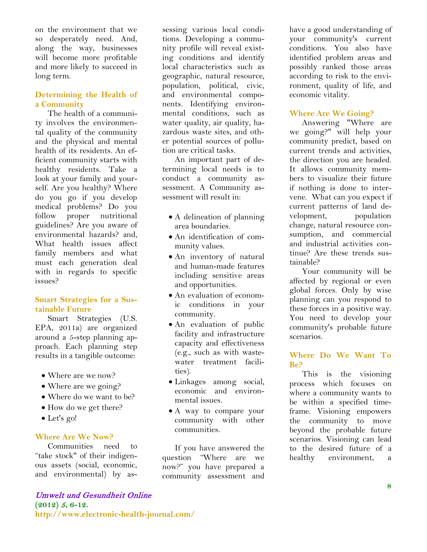on the environment that we so desperately need. And, along the way, businesses will become more profitable and more likely to succeed in long term.

## **Determining the Health of a Community**

The health of a community involves the environmental quality of the community and the physical and mental health of its residents. An efficient community starts with healthy residents. Take a look at your family and yourself. Are you healthy? Where do you go if you develop medical problems? Do you follow proper nutritional guidelines? Are you aware of environmental hazards? and, What health issues affect family members and what must each generation deal with in regards to specific issues?

## **Smart Strategies for a Sustainable Future**

Smart Strategies (U.S. EPA, 2011a) are organized around a 5-step planning approach. Each planning step results in a tangible outcome:

- Where are we now?
- Where are we going?
- Where do we want to be?
- How do we get there?
- Let's go!

## **Where Are We Now?**

Communities need to "take stock" of their indigenous assets (social, economic, and environmental) by as-

## Umwelt und Gesundheit Online **(2012)** <sup>5</sup>**, 6-12. http://www.electronic-health-journal.com/**

sessing various local conditions. Developing a community profile will reveal existing conditions and identify local characteristics such as geographic, natural resource, population, political, civic, and environmental components. Identifying environmental conditions, such as water quality, air quality, hazardous waste sites, and other potential sources of pollution are critical tasks.

An important part of determining local needs is to conduct a community assessment. A Community assessment will result in:

- A delineation of planning area boundaries.
- An identification of community values.
- An inventory of natural and human-made features including sensitive areas and opportunities.
- An evaluation of economic conditions in your community.
- An evaluation of public facility and infrastructure capacity and effectiveness (e.g., such as with wastewater treatment facilities).
- Linkages among social, economic and environmental issues.
- A way to compare your community with other communities.

If you have answered the question "Where are we now?" you have prepared a community assessment and

have a good understanding of your community's current conditions. You also have identified problem areas and possibly ranked those areas according to risk to the environment, quality of life, and economic vitality.

## **Where Are We Going?**

Answering "Where are we going?" will help your community predict, based on current trends and activities, the direction you are headed. It allows community members to visualize their future if nothing is done to intervene. What can you expect if current patterns of land development, population change, natural resource consumption, and commercial and industrial activities continue? Are these trends sustainable?

Your community will be affected by regional or even global forces. Only by wise planning can you respond to these forces in a positive way. You need to develop your community's probable future scenarios.

#### **Where Do We Want To Be?**

This is the visioning process which focuses on where a community wants to be within a specified timeframe. Visioning empowers the community to move beyond the probable future scenarios. Visioning can lead to the desired future of a healthy environment, a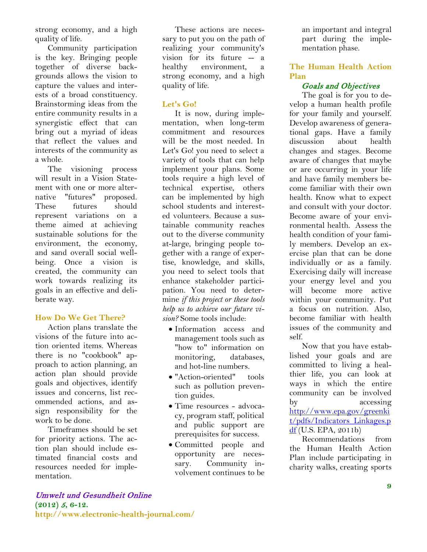strong economy, and a high quality of life.

Community participation is the key. Bringing people together of diverse backgrounds allows the vision to capture the values and interests of a broad constituency. Brainstorming ideas from the entire community results in a synergistic effect that can bring out a myriad of ideas that reflect the values and interests of the community as a whole.

The visioning process will result in a Vision Statement with one or more alternative "futures" proposed. These futures should represent variations on a theme aimed at achieving sustainable solutions for the environment, the economy, and sand overall social wellbeing. Once a vision is created, the community can work towards realizing its goals in an effective and deliberate way.

## **How Do We Get There?**

Action plans translate the visions of the future into action oriented items. Whereas there is no "cookbook" approach to action planning, an action plan should provide goals and objectives, identify issues and concerns, list recommended actions, and assign responsibility for the work to be done.

Timeframes should be set for priority actions. The action plan should include estimated financial costs and resources needed for implementation.

These actions are necessary to put you on the path of realizing your community's vision for its future -- a healthy environment. strong economy, and a high quality of life.

## **Let's Go!**

It is now, during implementation, when long-term commitment and resources will be the most needed. In Let's Go! you need to select a variety of tools that can help implement your plans. Some tools require a high level of technical expertise, others can be implemented by high school students and interested volunteers. Because a sustainable community reaches out to the diverse community at-large, bringing people together with a range of expertise, knowledge, and skills, you need to select tools that enhance stakeholder participation. You need to determine *if this project or these tools help us to achieve our future vision?* Some tools include:

- Information access and management tools such as "how to" information on monitoring, databases, and hot-line numbers.
- "Action-oriented" tools such as pollution prevention guides.
- Time resources advocacy, program staff, political and public support are prerequisites for success.
- Committed people and opportunity are necessary. Community involvement continues to be

an important and integral part during the implementation phase.

## **The Human Health Action Plan**

#### Goals and Objectives

The goal is for you to develop a human health profile for your family and yourself. Develop awareness of generational gaps. Have a family discussion about health changes and stages. Become aware of changes that maybe or are occurring in your life and have family members become familiar with their own health. Know what to expect and consult with your doctor. Become aware of your environmental health. Assess the health condition of your family members. Develop an exercise plan that can be done individually or as a family. Exercising daily will increase your energy level and you will become more active within your community. Put a focus on nutrition. Also, become familiar with health issues of the community and self.

Now that you have established your goals and are committed to living a healthier life, you can look at ways in which the entire community can be involved by accessing [http://www.epa.gov/greenki](http://www.epa.gov/greenkit/pdfs/Indicators_Linkages.pdf) [t/pdfs/Indicators\\_Linkages.p](http://www.epa.gov/greenkit/pdfs/Indicators_Linkages.pdf) [df](http://www.epa.gov/greenkit/pdfs/Indicators_Linkages.pdf) (U.S. EPA, 2011b)

Recommendations from the Human Health Action Plan include participating in charity walks, creating sports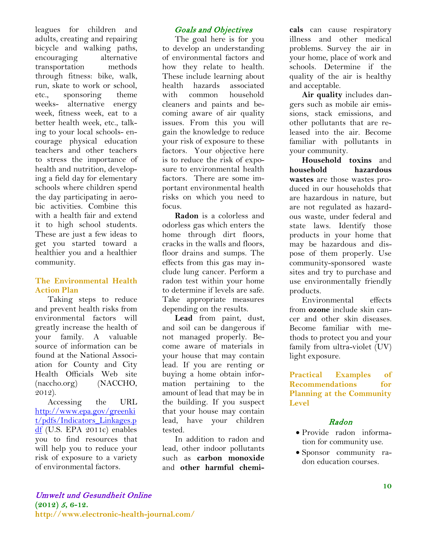leagues for children and adults, creating and repairing bicycle and walking paths, encouraging alternative transportation methods through fitness: bike, walk, run, skate to work or school, etc., sponsoring theme weeks- alternative energy week, fitness week, eat to a better health week, etc., talking to your local schools- encourage physical education teachers and other teachers to stress the importance of health and nutrition, developing a field day for elementary schools where children spend the day participating in aerobic activities. Combine this with a health fair and extend it to high school students. These are just a few ideas to get you started toward a healthier you and a healthier community.

## **The Environmental Health Action Plan**

Taking steps to reduce and prevent health risks from environmental factors will greatly increase the health of your family. A valuable source of information can be found at the National Association for County and City Health Officials Web site (naccho.org) (NACCHO, 2012).

Accessing the URL [http://www.epa.gov/greenki](http://www.epa.gov/greenkit/pdfs/Indicators_Linkages.pdf) [t/pdfs/Indicators\\_Linkages.p](http://www.epa.gov/greenkit/pdfs/Indicators_Linkages.pdf) [df](http://www.epa.gov/greenkit/pdfs/Indicators_Linkages.pdf) (U.S. EPA 2011c) enables you to find resources that will help you to reduce your risk of exposure to a variety of environmental factors.

## Goals and Objectives

The goal here is for you to develop an understanding of environmental factors and how they relate to health. These include learning about health hazards associated with common household cleaners and paints and becoming aware of air quality issues. From this you will gain the knowledge to reduce your risk of exposure to these factors. Your objective here is to reduce the risk of exposure to environmental health factors. There are some important environmental health risks on which you need to focus.

**Radon** is a colorless and odorless gas which enters the home through dirt floors, cracks in the walls and floors, floor drains and sumps. The effects from this gas may include lung cancer. Perform a radon test within your home to determine if levels are safe. Take appropriate measures depending on the results.

**Lead** from paint, dust, and soil can be dangerous if not managed properly. Become aware of materials in your house that may contain lead. If you are renting or buying a home obtain information pertaining to the amount of lead that may be in the building. If you suspect that your house may contain lead, have your children tested.

In addition to radon and lead, other indoor pollutants such as **carbon monoxide** and **other harmful chemi-** **cals** can cause respiratory illness and other medical problems. Survey the air in your home, place of work and schools. Determine if the quality of the air is healthy and acceptable.

**Air quality** includes dangers such as mobile air emissions, stack emissions, and other pollutants that are released into the air. Become familiar with pollutants in your community.

**Household toxins** and **household hazardous wastes** are those wastes produced in our households that are hazardous in nature, but are not regulated as hazardous waste, under federal and state laws. Identify those products in your home that may be hazardous and dispose of them properly. Use community-sponsored waste sites and try to purchase and use environmentally friendly products.

Environmental effects from **ozone** include skin cancer and other skin diseases. Become familiar with methods to protect you and your family from ultra-violet (UV) light exposure.

**Practical Examples of Recommendations for Planning at the Community Level**

## Radon

- Provide radon information for community use.
- Sponsor community radon education courses.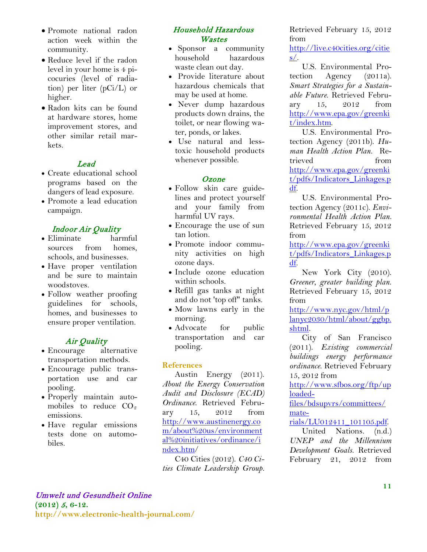- Promote national radon action week within the community.
- Reduce level if the radon level in your home is 4 picocuries (level of radiation) per liter (pCi/L) or higher.
- Radon kits can be found at hardware stores, home improvement stores, and other similar retail markets.

## Lead

- Create educational school programs based on the dangers of lead exposure.
- Promote a lead education campaign.

## Indoor Air Quality

- Eliminate harmful sources from homes, schools, and businesses.
- Have proper ventilation and be sure to maintain woodstoves.
- Follow weather proofing guidelines for schools, homes, and businesses to ensure proper ventilation.

# Air Quality

- Encourage alternative transportation methods.
- Encourage public transportation use and car pooling.
- Properly maintain automobiles to reduce  $CO<sub>2</sub>$ emissions.
- Have regular emissions tests done on automobiles.

## Household Hazardous **Wastes**

- Sponsor a community household hazardous waste clean out day.
- Provide literature about hazardous chemicals that may be used at home.
- Never dump hazardous products down drains, the toilet, or near flowing water, ponds, or lakes.
- Use natural and lesstoxic household products whenever possible.

#### Ozone

- Follow skin care guidelines and protect yourself and your family from harmful UV rays.
- Encourage the use of sun tan lotion.
- Promote indoor community activities on high ozone days.
- Include ozone education within schools.
- Refill gas tanks at night and do not 'top off" tanks.
- Mow lawns early in the morning.
- Advocate for public transportation and car pooling.

## **References**

Austin Energy (2011). *About the Energy Conservation Audit and Disclosure (ECAD) Ordinance*. Retrieved February 15, 2012 from [http://www.austinenergy.co](http://www.austinenergy.com/about%20us/environmental%20initiatives/ordinance/index.htm) [m/about%20us/environment](http://www.austinenergy.com/about%20us/environmental%20initiatives/ordinance/index.htm) [al%20initiatives/ordinance/i](http://www.austinenergy.com/about%20us/environmental%20initiatives/ordinance/index.htm) [ndex.htm/](http://www.austinenergy.com/about%20us/environmental%20initiatives/ordinance/index.htm)

C40 Cities (2012). *C40 Cities Climate Leadership Group.*  Retrieved February 15, 2012 from

[http://live.c40cities.org/citie](http://live.c40cities.org/cities/)  $s/$ .

U.S. Environmental Protection Agency (2011a). *Smart Strategies for a Sustainable Future*. Retrieved February 15, 2012 from [http://www.epa.gov/greenki](http://www.epa.gov/greenkit/index.htm) [t/index.htm.](http://www.epa.gov/greenkit/index.htm)

U.S. Environmental Protection Agency (2011b). *Human Health Action Plan.* Retrieved from [http://www.epa.gov/greenki](http://www.epa.gov/greenkit/pdfs/Indicators_Linkages.pdf) [t/pdfs/Indicators\\_Linkages.p](http://www.epa.gov/greenkit/pdfs/Indicators_Linkages.pdf) [df.](http://www.epa.gov/greenkit/pdfs/Indicators_Linkages.pdf)

U.S. Environmental Protection Agency (2011c). *Environmental Health Action Plan.* Retrieved February 15, 2012 from

[http://www.epa.gov/greenki](http://www.epa.gov/greenkit/pdfs/Indicators_Linkages.pdf) [t/pdfs/Indicators\\_Linkages.p](http://www.epa.gov/greenkit/pdfs/Indicators_Linkages.pdf) [df.](http://www.epa.gov/greenkit/pdfs/Indicators_Linkages.pdf)

New York City (2010). *Greener, greater building plan.* Retrieved February 15, 2012 from

[http://www.nyc.gov/html/p](http://www.nyc.gov/html/planyc2030/html/about/ggbp.shtml) [lanyc2030/html/about/ggbp.](http://www.nyc.gov/html/planyc2030/html/about/ggbp.shtml) [shtml.](http://www.nyc.gov/html/planyc2030/html/about/ggbp.shtml)

City of San Francisco (2011). *Existing commercial buildings energy performance ordinance*. Retrieved February 15, 2012 from

[http://www.sfbos.org/ftp/up](http://www.sfbos.org/ftp/uploadedfiles/bdsupvrs/committees/materials/LU012411_101105.pdf) [loaded-](http://www.sfbos.org/ftp/uploadedfiles/bdsupvrs/committees/materials/LU012411_101105.pdf)

[files/bdsupvrs/committees/](http://www.sfbos.org/ftp/uploadedfiles/bdsupvrs/committees/materials/LU012411_101105.pdf) [mate-](http://www.sfbos.org/ftp/uploadedfiles/bdsupvrs/committees/materials/LU012411_101105.pdf)

[rials/LU012411\\_101105.pdf.](http://www.sfbos.org/ftp/uploadedfiles/bdsupvrs/committees/materials/LU012411_101105.pdf)

United Nations. (n.d.) *UNEP and the Millennium Development Goals.* Retrieved February 21, 2012 from

**(2012)** <sup>5</sup>**, 6-12. http://www.electronic-health-journal.com/**